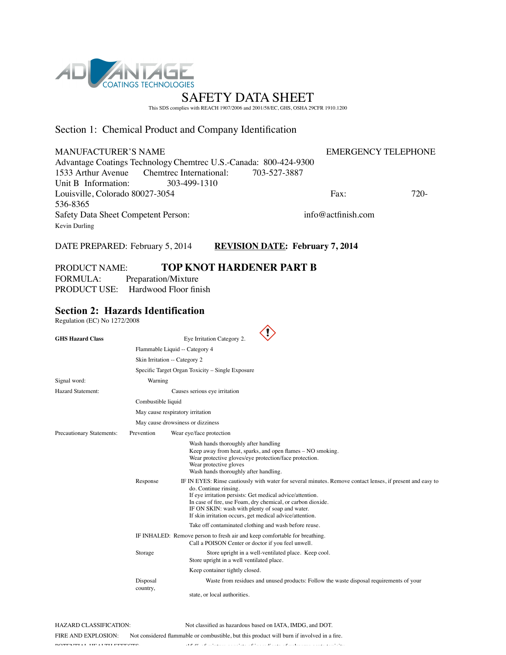

This SDS complies with REACH 1907/2006 and 2001/58/EC, GHS, OSHA 29CFR 1910.1200

# Section 1: Chemical Product and Company Identification

| <b>MANUFACTURER'S NAME</b>                                       | <b>EMERGENCY TELEPHONE</b> |      |
|------------------------------------------------------------------|----------------------------|------|
| Advantage Coatings Technology Chemitec U.S.-Canada: 800-424-9300 |                            |      |
| 1533 Arthur Avenue Chemtrec International: 703-527-3887          |                            |      |
| Unit B Information:<br>303-499-1310                              |                            |      |
| Louisville, Colorado 80027-3054                                  | Fax:                       | 720- |
| 536-8365                                                         |                            |      |
| Safety Data Sheet Competent Person:                              | $info@$ actfinish com      |      |
| Kevin Durling                                                    |                            |      |
|                                                                  |                            |      |

DATE PREPARED: February 5, 2014 **REVISION DATE: February 7, 2014**

## PRODUCT NAME: **TOP KNOT HARDENER PART B**

FORMULA: Preparation/Mixture PRODUCT USE: Hardwood Floor finish

# **Section 2: Hazards Identification**

Regulation (EC) No 1272/2008

| <b>GHS Hazard Class</b>   |                    | $\langle ! \rangle$<br>Eye Irritation Category 2.                                                                                                                                                                                                                                                                                                                              |
|---------------------------|--------------------|--------------------------------------------------------------------------------------------------------------------------------------------------------------------------------------------------------------------------------------------------------------------------------------------------------------------------------------------------------------------------------|
|                           |                    | Flammable Liquid -- Category 4                                                                                                                                                                                                                                                                                                                                                 |
|                           |                    | Skin Irritation -- Category 2                                                                                                                                                                                                                                                                                                                                                  |
|                           |                    | Specific Target Organ Toxicity - Single Exposure                                                                                                                                                                                                                                                                                                                               |
| Signal word:              | Warning            |                                                                                                                                                                                                                                                                                                                                                                                |
| <b>Hazard Statement:</b>  |                    | Causes serious eye irritation                                                                                                                                                                                                                                                                                                                                                  |
|                           | Combustible liquid |                                                                                                                                                                                                                                                                                                                                                                                |
|                           |                    | May cause respiratory irritation                                                                                                                                                                                                                                                                                                                                               |
|                           |                    | May cause drowsiness or dizziness                                                                                                                                                                                                                                                                                                                                              |
| Precautionary Statements: | Prevention         | Wear eye/face protection                                                                                                                                                                                                                                                                                                                                                       |
|                           |                    | Wash hands thoroughly after handling<br>Keep away from heat, sparks, and open flames – NO smoking.<br>Wear protective gloves/eye protection/face protection.<br>Wear protective gloves<br>Wash hands thoroughly after handling.                                                                                                                                                |
|                           | Response           | IF IN EYES: Rinse cautiously with water for several minutes. Remove contact lenses, if present and easy to<br>do. Continue rinsing.<br>If eye irritation persists: Get medical advice/attention.<br>In case of fire, use Foam, dry chemical, or carbon dioxide.<br>IF ON SKIN: wash with plenty of soap and water.<br>If skin irritation occurs, get medical advice/attention. |
|                           |                    | Take off contaminated clothing and wash before reuse.                                                                                                                                                                                                                                                                                                                          |
|                           |                    | IF INHALED: Remove person to fresh air and keep comfortable for breathing.<br>Call a POISON Center or doctor if you feel unwell.                                                                                                                                                                                                                                               |
|                           | Storage            | Store upright in a well-ventilated place. Keep cool.<br>Store upright in a well ventilated place.                                                                                                                                                                                                                                                                              |
|                           |                    | Keep container tightly closed.                                                                                                                                                                                                                                                                                                                                                 |
|                           | Disposal           | Waste from residues and unused products: Follow the waste disposal requirements of your                                                                                                                                                                                                                                                                                        |
|                           | country,           | state, or local authorities.                                                                                                                                                                                                                                                                                                                                                   |

 $\lambda$ 

HAZARD CLASSIFICATION: Not classified as hazardous based on IATA, IMDG, and DOT. FIRE AND EXPLOSION: Not considered flammable or combustible, but this product will burn if involved in a fire. POTENTIAL HEALTH EFFECTS: THE MIXTURE CONSISTS OF MIXTURE CONSISTS OF INDUCES OF THE UNKNOWN ACCEPTANCE TO A U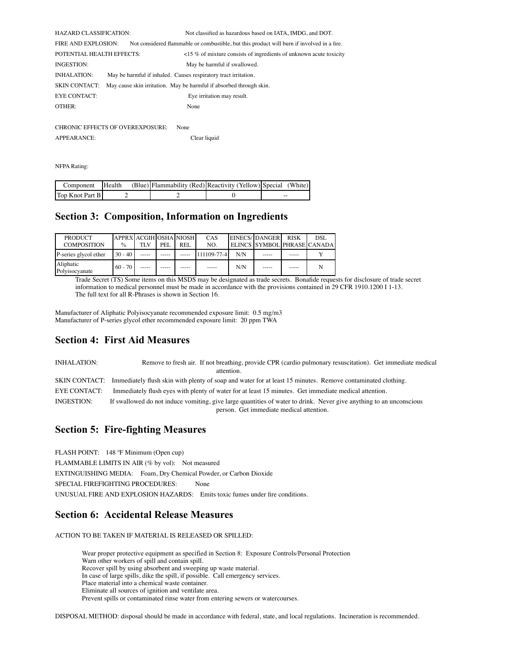| <b>HAZARD CLASSIFICATION:</b> |                                         | Not classified as hazardous based on IATA, IMDG, and DOT.                                  |
|-------------------------------|-----------------------------------------|--------------------------------------------------------------------------------------------|
| <b>FIRE AND EXPLOSION:</b>    |                                         | Not considered flammable or combustible, but this product will burn if involved in a fire. |
| POTENTIAL HEALTH EFFECTS:     |                                         | $\langle$ 15 % of mixture consists of ingredients of unknown acute toxicity                |
| INGESTION:                    |                                         | May be harmful if swallowed.                                                               |
| <b>INHALATION:</b>            |                                         | May be harmful if inhaled. Causes respiratory tract irritation.                            |
| <b>SKIN CONTACT:</b>          |                                         | May cause skin irritation. May be harmful if absorbed through skin.                        |
| <b>EYE CONTACT:</b>           |                                         | Eye irritation may result.                                                                 |
| OTHER:                        |                                         | None                                                                                       |
|                               |                                         |                                                                                            |
|                               | <b>CHRONIC EFFECTS OF OVEREXPOSURE:</b> | None                                                                                       |

| APPEARANCE: | Clear liquid |
|-------------|--------------|
|             |              |

NFPA Rating:

| Component       | Health | (Blue) Flammability (Red) Reactivity (Yellow) Special (White) |    |
|-----------------|--------|---------------------------------------------------------------|----|
| Top Knot Part B |        |                                                               | -- |

## **Section 3: Composition, Information on Ingredients**

| <b>PRODUCT</b><br><b>COMPOSITION</b> | APPRX ACGIH OSHA NIOSH<br>$\frac{0}{0}$ | TLV | PEI. | REL   | CAS<br>NO.  |     | EINECS/DANGER | <b>RISK</b> | DSL<br>ELINCS SYMBOL PHRASE CANADA |
|--------------------------------------|-----------------------------------------|-----|------|-------|-------------|-----|---------------|-------------|------------------------------------|
| P-series glycol ether                | $30 - 40$                               |     |      |       | 111109-77-4 | N/N | $- - - - -$   |             |                                    |
| Aliphatic<br>Polvisocvanate          | $60 - 70$                               |     |      | ----- | $- - - - -$ | N/N | $- - - - -$   | -----       |                                    |

Trade Secret (TS) Some items on this MSDS may be designated as trade secrets. Bonafide requests for disclosure of trade secret information to medical personnel must be made in accordance with the provisions contained in 29 CFR 1910.1200 I 1-13. The full text for all R-Phrases is shown in Section 16.

Manufacturer of Aliphatic Polyisocyanate recommended exposure limit: 0.5 mg/m3 Manufacturer of P-series glycol ether recommended exposure limit: 20 ppm TWA

## **Section 4: First Aid Measures**

INHALATION: Remove to fresh air. If not breathing, provide CPR (cardio pulmonary resuscitation). Get immediate medical attention. SKIN CONTACT: Immediately flush skin with plenty of soap and water for at least 15 minutes. Remove contaminated clothing. EYE CONTACT: Immediately flush eyes with plenty of water for at least 15 minutes. Get immediate medical attention. INGESTION: If swallowed do not induce vomiting, give large quantities of water to drink. Never give anything to an unconscious person. Get immediate medical attention.

## **Section 5: Fire-fighting Measures**

FLASH POINT: 148 ºF Minimum (Open cup)

FLAMMABLE LIMITS IN AIR (% by vol): Not measured

EXTINGUISHING MEDIA: Foam, Dry Chemical Powder, or Carbon Dioxide

SPECIAL FIREFIGHTING PROCEDURES: None

UNUSUAL FIRE AND EXPLOSION HAZARDS: Emits toxic fumes under fire conditions.

## **Section 6: Accidental Release Measures**

ACTION TO BE TAKEN IF MATERIAL IS RELEASED OR SPILLED:

Wear proper protective equipment as specified in Section 8: Exposure Controls/Personal Protection Warn other workers of spill and contain spill. Recover spill by using absorbent and sweeping up waste material. In case of large spills, dike the spill, if possible. Call emergency services. Place material into a chemical waste container. Eliminate all sources of ignition and ventilate area. Prevent spills or contaminated rinse water from entering sewers or watercourses.

DISPOSAL METHOD: disposal should be made in accordance with federal, state, and local regulations. Incineration is recommended.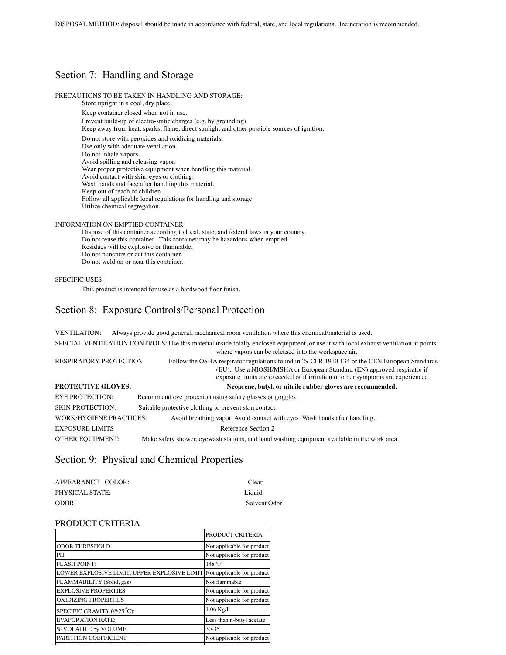# Section 7: Handling and Storage

### PRECAUTIONS TO BE TAKEN IN HANDLING AND STORAGE:

Store upright in a cool, dry place.

Keep container closed when not in use.

Prevent build-up of electro-static charges (e.g. by grounding).

Keep away from heat, sparks, flame, direct sunlight and other possible sources of ignition.

Do not store with peroxides and oxidizing materials.

Use only with adequate ventilation.

Do not inhale vapors. Avoid spilling and releasing vapor.

Wear proper protective equipment when handling this material.

Avoid contact with skin, eyes or clothing.

Wash hands and face after handling this material.

Keep out of reach of children.

Follow all applicable local regulations for handling and storage. Utilize chemical segregation.

### INFORMATION ON EMPTIED CONTAINER

Dispose of this container according to local, state, and federal laws in your country. Do not reuse this container. This container may be hazardous when emptied. Residues will be explosive or flammable. Do not puncture or cut this container. Do not weld on or near this container.

### SPECIFIC USES:

This product is intended for use as a hardwood floor finish.

## Section 8: Exposure Controls/Personal Protection

VENTILATION: Always provide good general, mechanical room ventilation where this chemical/material is used. SPECIAL VENTILATION CONTROLS: Use this material inside totally enclosed equipment, or use it with local exhaust ventilation at points where vapors can be released into the workspace air. RESPIRATORY PROTECTION: Follow the OSHA respirator regulations found in 29 CFR 1910.134 or the CEN European Standards (EU). Use a NIOSH/MSHA or European Standard (EN) approved respirator if exposure limits are exceeded or if irritation or other symptoms are experienced. **PROTECTIVE GLOVES: Neoprene, butyl, or nitrile rubber gloves are recommended.** EYE PROTECTION: Recommend eye protection using safety glasses or goggles. SKIN PROTECTION: Suitable protective clothing to prevent skin contact WORK/HYGIENE PRACTICES: Avoid breathing vapor. Avoid contact with eyes. Wash hands after handling. EXPOSURE LIMITS Reference Section 2 OTHER EQUIPMENT: Make safety shower, eyewash stations, and hand washing equipment available in the work area.

## Section 9: Physical and Chemical Properties

| APPEARANCE - COLOR: | Clear        |
|---------------------|--------------|
| PHYSICAL STATE:     | Liquid       |
| ODOR:               | Solvent Odor |

### PRODUCT CRITERIA

|                                                                         | PRODUCT CRITERIA           |
|-------------------------------------------------------------------------|----------------------------|
| <b>ODOR THRESHOLD</b>                                                   | Not applicable for product |
| PH                                                                      | Not applicable for product |
| <b>FLASH POINT:</b>                                                     | 148 °F                     |
| LOWER EXPLOSIVE LIMIT; UPPER EXPLOSIVE LIMIT Not applicable for product |                            |
| FLAMMABILITY (Solid, gas)                                               | Not flammable              |
| <b>EXPLOSIVE PROPERTIES</b>                                             | Not applicable for product |
| <b>OXIDIZING PROPERTIES</b>                                             | Not applicable for product |
| SPECIFIC GRAVITY ( $@25^{\circ}$ C):                                    | $1.06$ Kg/L                |
| <b>EVAPORATION RATE:</b>                                                | Less than n-butyl acetate  |
| % VOLATILE by VOLUME                                                    | $30 - 35$                  |
| PARTITION COEFFICIENT                                                   | Not applicable for product |
|                                                                         |                            |

AUTO IGNITION TEMPERATURE Not applicable for product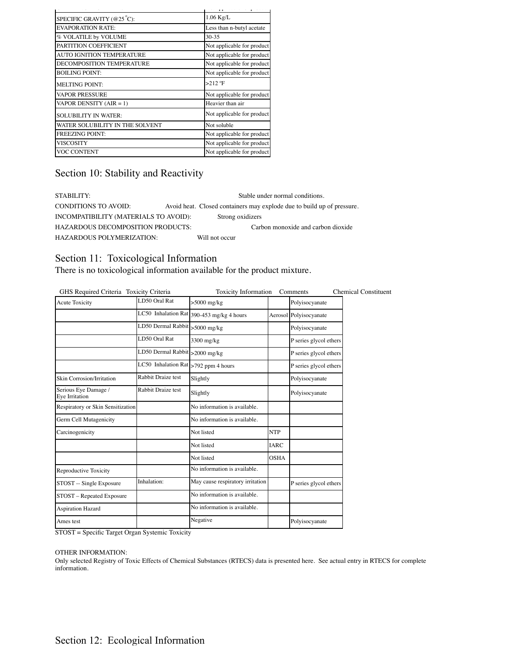|                                  | $\overline{A}$             |
|----------------------------------|----------------------------|
| SPECIFIC GRAVITY (@25°C):        | $1.06$ Kg/L                |
| <b>EVAPORATION RATE:</b>         | Less than n-butyl acetate  |
| % VOLATILE by VOLUME             | $30 - 35$                  |
| PARTITION COEFFICIENT            | Not applicable for product |
| <b>AUTO IGNITION TEMPERATURE</b> | Not applicable for product |
| <b>DECOMPOSITION TEMPERATURE</b> | Not applicable for product |
| <b>BOILING POINT:</b>            | Not applicable for product |
| <b>MELTING POINT:</b>            | $>212$ °F                  |
| <b>VAPOR PRESSURE</b>            | Not applicable for product |
| VAPOR DENSITY $(AIR = 1)$        | Heavier than air           |
| <b>SOLUBILITY IN WATER:</b>      | Not applicable for product |
| WATER SOLUBILITY IN THE SOLVENT  | Not soluble                |
| <b>FREEZING POINT:</b>           | Not applicable for product |
| <b>VISCOSITY</b>                 | Not applicable for product |
| <b>VOC CONTENT</b>               | Not applicable for product |

# Section 10: Stability and Reactivity

STABILITY: Stable under normal conditions. CONDITIONS TO AVOID: Avoid heat. Closed containers may explode due to build up of pressure. INCOMPATIBILITY (MATERIALS TO AVOID): Strong oxidizers HAZARDOUS DECOMPOSITION PRODUCTS: Carbon monoxide and carbon dioxide HAZARDOUS POLYMERIZATION: Will not occur

### Section 11: Toxicological Information

There is no toxicological information available for the product mixture.

| <b>Acute Toxicity</b>                  | LD50 Oral Rat                        | $>5000$ mg/kg                             |             | Polyisocyanate         |
|----------------------------------------|--------------------------------------|-------------------------------------------|-------------|------------------------|
|                                        |                                      | LC50 Inhalation Rat 390-453 mg/kg 4 hours |             | Aerosol Polyisocyanate |
|                                        | LD50 Dermal Rabbit > 5000 mg/kg      |                                           |             | Polyisocyanate         |
|                                        | LD50 Oral Rat                        | 3300 mg/kg                                |             | P series glycol ethers |
|                                        | LD50 Dermal Rabbit >2000 mg/kg       |                                           |             | P series glycol ethers |
|                                        | LC50 Inhalation Rat >792 ppm 4 hours |                                           |             | P series glycol ethers |
| Skin Corrosion/Irritation              | Rabbit Draize test                   | Slightly                                  |             | Polyisocyanate         |
| Serious Eye Damage /<br>Eye Irritation | Rabbit Draize test                   | Slightly                                  |             | Polyisocyanate         |
| Respiratory or Skin Sensitization      |                                      | No information is available.              |             |                        |
| Germ Cell Mutagenicity                 |                                      | No information is available.              |             |                        |
| Carcinogenicity                        |                                      | Not listed                                | <b>NTP</b>  |                        |
|                                        |                                      | Not listed                                | IARC        |                        |
|                                        |                                      | Not listed                                | <b>OSHA</b> |                        |
| Reproductive Toxicity                  |                                      | No information is available.              |             |                        |
| STOST -- Single Exposure               | Inhalation:                          | May cause respiratory irritation          |             | P series glycol ethers |
| STOST - Repeated Exposure              |                                      | No information is available.              |             |                        |
| <b>Aspiration Hazard</b>               |                                      | No information is available.              |             |                        |
| Ames test                              |                                      | Negative                                  |             | Polyisocyanate         |

STOST = Specific Target Organ Systemic Toxicity

OTHER INFORMATION:

Only selected Registry of Toxic Effects of Chemical Substances (RTECS) data is presented here. See actual entry in RTECS for complete information.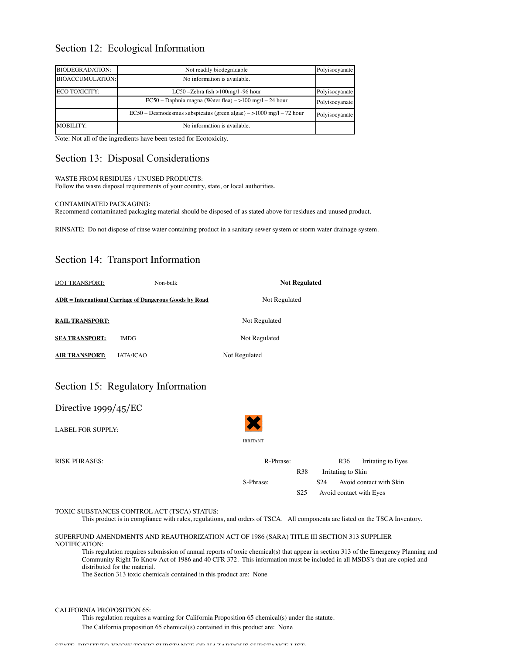## Section 12: Ecological Information

| <b>BIODEGRADATION:</b>  | Not readily biodegradable                                            | Polyisocyanate |
|-------------------------|----------------------------------------------------------------------|----------------|
| <b>BIOACCUMULATION:</b> | No information is available.                                         |                |
| ECO TOXICITY:           | LC50 - Zebra fish $>100$ mg/l - 96 hour                              | Polyisocyanate |
|                         | $EC50 - Daphnia magna (Water flea) - >100 mg/l - 24 hour$            | Polyisocyanate |
|                         | EC50 – Desmodesmus subspicatus (green algae) – > 1000 mg/l – 72 hour | Polyisocyanate |
| <b>MOBILITY:</b>        | No information is available.                                         |                |

Note: Not all of the ingredients have been tested for Ecotoxicity.

# Section 13: Disposal Considerations

### WASTE FROM RESIDUES / UNUSED PRODUCTS:

Follow the waste disposal requirements of your country, state, or local authorities.

### CONTAMINATED PACKAGING:

Recommend contaminated packaging material should be disposed of as stated above for residues and unused product.

RINSATE: Do not dispose of rinse water containing product in a sanitary sewer system or storm water drainage system.

# Section 14: Transport Information

| <b>DOT TRANSPORT:</b>                                          | Non-bulk | <b>Not Regulated</b>                                                                       |                                                                                                                             |
|----------------------------------------------------------------|----------|--------------------------------------------------------------------------------------------|-----------------------------------------------------------------------------------------------------------------------------|
| <b>ADR</b> = International Carriage of Dangerous Goods by Road |          | Not Regulated                                                                              |                                                                                                                             |
| <b>RAIL TRANSPORT:</b>                                         |          | Not Regulated                                                                              |                                                                                                                             |
| <b>IMDG</b><br><b>SEA TRANSPORT:</b>                           |          | Not Regulated                                                                              |                                                                                                                             |
| <b>AIR TRANSPORT:</b><br><b>IATA/ICAO</b>                      |          | Not Regulated                                                                              |                                                                                                                             |
| Section 15: Regulatory Information                             |          |                                                                                            |                                                                                                                             |
| Directive $1999/45/EC$                                         |          |                                                                                            |                                                                                                                             |
| <b>LABEL FOR SUPPLY:</b>                                       |          |                                                                                            |                                                                                                                             |
|                                                                |          | <b>IRRITANT</b>                                                                            |                                                                                                                             |
| <b>RISK PHRASES:</b>                                           |          | R-Phrase:<br><b>R38</b>                                                                    | R <sub>36</sub><br>Irritating to Eyes<br>Irritating to Skin                                                                 |
|                                                                |          | S-Phrase:                                                                                  | Avoid contact with Skin<br>S <sub>24</sub>                                                                                  |
|                                                                |          | S <sub>25</sub>                                                                            | Avoid contact with Eyes                                                                                                     |
| TOXIC SUBSTANCES CONTROL ACT (TSCA) STATUS:                    |          |                                                                                            | This product is in compliance with rules, regulations, and orders of TSCA. All components are listed on the TSCA Inventory. |
| NOTIFICATION:                                                  |          | SUPERFUND AMENDMENTS AND REAUTHORIZATION ACT OF 1986 (SARA) TITLE III SECTION 313 SUPPLIER |                                                                                                                             |

This regulation requires submission of annual reports of toxic chemical(s) that appear in section 313 of the Emergency Planning and Community Right To Know Act of 1986 and 40 CFR 372. This information must be included in all MSDS's that are copied and distributed for the material.

The Section 313 toxic chemicals contained in this product are: None

### CALIFORNIA PROPOSITION 65:

This regulation requires a warning for California Proposition 65 chemical(s) under the statute.

The California proposition 65 chemical(s) contained in this product are: None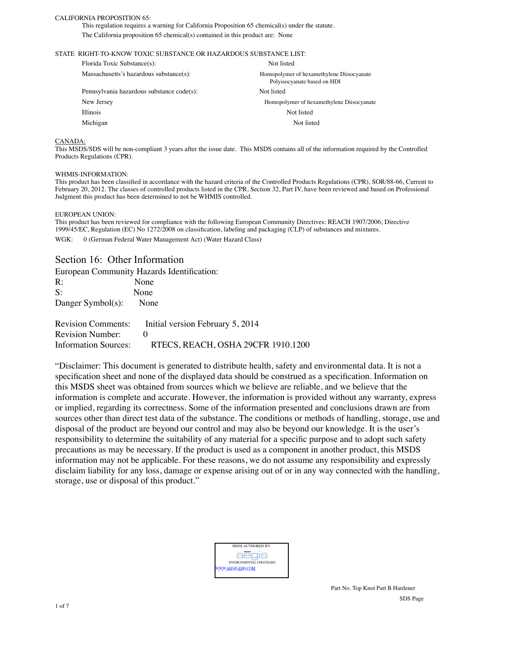### CALIFORNIA PROPOSITION 65:

This regulation requires a warning for California Proposition 65 chemical(s) under the statute. The California proposition 65 chemical(s) contained in this product are: None

### STATE RIGHT-TO-KNOW TOXIC SUBSTANCE OR HAZARDOUS SUBSTANCE LIST:

| Florida Toxic Substance(s):               | Not listed                                                               |
|-------------------------------------------|--------------------------------------------------------------------------|
| Massachusetts's hazardous substance(s):   | Homopolymer of hexamethylene Diisocyanate<br>Polyisocyanate based on HDI |
| Pennsylvania hazardous substance code(s): | Not listed                                                               |
| New Jersey                                | Homopolymer of hexamethylene Diisocyanate                                |
| <b>Illinois</b>                           | Not listed                                                               |
| Michigan                                  | Not listed                                                               |
|                                           |                                                                          |

#### CANADA:

This MSDS/SDS will be non-compliant 3 years after the issue date. This MSDS contains all of the information required by the Controlled Products Regulations (CPR).

#### WHMIS-INFORMATION:

This product has been classified in accordance with the hazard criteria of the Controlled Products Regulations (CPR), SOR/88-66, Current to February 20, 2012. The classes of controlled products listed in the CPR, Section 32, Part IV, have been reviewed and based on Professional Judgment this product has been determined to not be WHMIS controlled.

#### EUROPEAN UNION:

This product has been reviewed for compliance with the following European Community Directives: REACH 1907/2006; Directive 1999/45/EC, Regulation (EC) No 1272/2008 on classification, labeling and packaging (CLP) of substances and mixtures. WGK: 0 (German Federal Water Management Act) (Water Hazard Class)

### Section 16: Other Information

European Community Hazards Identification:

| $\mathsf{R}$ :    | None |
|-------------------|------|
| S:                | None |
| Danger Symbol(s): | None |

| <b>Revision Comments:</b>   | Initial version February 5, 2014   |
|-----------------------------|------------------------------------|
| <b>Revision Number:</b>     |                                    |
| <b>Information Sources:</b> | RTECS, REACH, OSHA 29CFR 1910.1200 |

"Disclaimer: This document is generated to distribute health, safety and environmental data. It is not a specification sheet and none of the displayed data should be construed as a specification. Information on this MSDS sheet was obtained from sources which we believe are reliable, and we believe that the information is complete and accurate. However, the information is provided without any warranty, express or implied, regarding its correctness. Some of the information presented and conclusions drawn are from sources other than direct test data of the substance. The conditions or methods of handling, storage, use and disposal of the product are beyond our control and may also be beyond our knowledge. It is the user's responsibility to determine the suitability of any material for a specific purpose and to adopt such safety precautions as may be necessary. If the product is used as a component in another product, this MSDS information may not be applicable. For these reasons, we do not assume any responsibility and expressly disclaim liability for any loss, damage or expense arising out of or in any way connected with the handling, storage, use or disposal of this product."